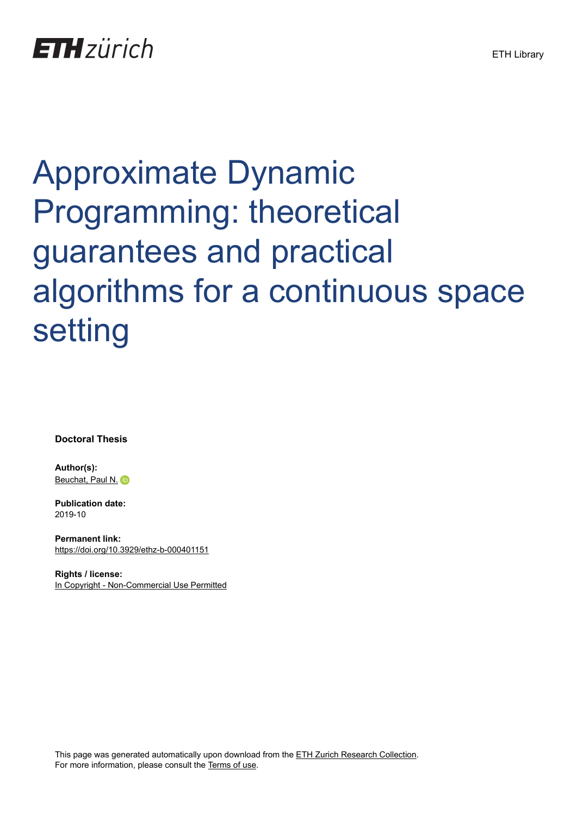## Approximate Dynamic Programming: theoretical guarantees and practical algorithms for a continuous space setting

**Doctoral Thesis**

**Author(s):** [Beuchat, Paul N.](https://orcid.org/0000-0002-1044-3994) iD

**Publication date:** 2019-10

**Permanent link:** <https://doi.org/10.3929/ethz-b-000401151>

**Rights / license:** [In Copyright - Non-Commercial Use Permitted](http://rightsstatements.org/page/InC-NC/1.0/)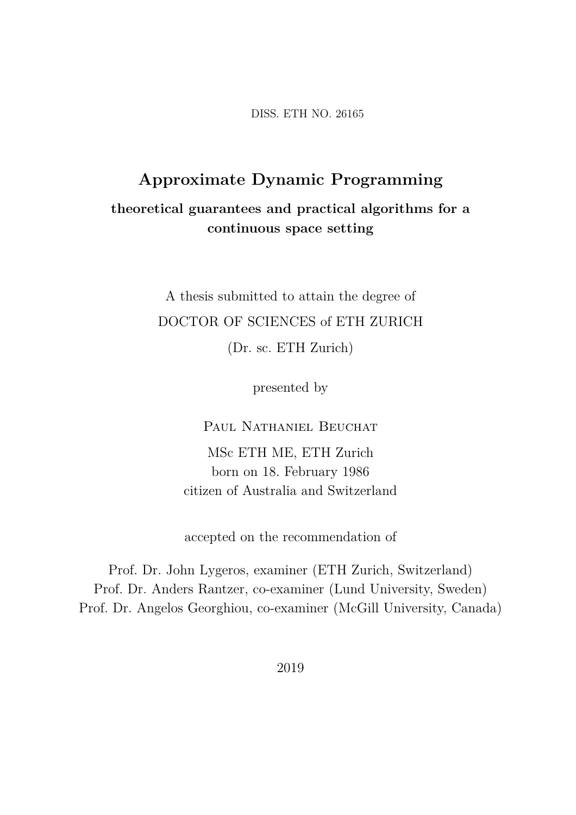DISS. ETH NO. 26165

## **Approximate Dynamic Programming theoretical guarantees and practical algorithms for a continuous space setting**

A thesis submitted to attain the degree of DOCTOR OF SCIENCES of ETH ZURICH (Dr. sc. ETH Zurich)

presented by

Paul Nathaniel Beuchat

MSc ETH ME, ETH Zurich born on 18. February 1986 citizen of Australia and Switzerland

accepted on the recommendation of

Prof. Dr. John Lygeros, examiner (ETH Zurich, Switzerland) Prof. Dr. Anders Rantzer, co-examiner (Lund University, Sweden) Prof. Dr. Angelos Georghiou, co-examiner (McGill University, Canada)

2019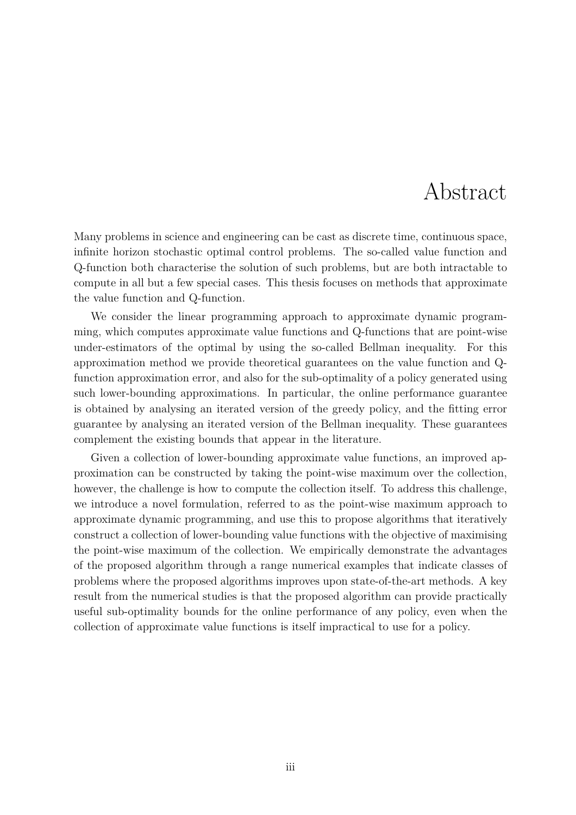## Abstract

Many problems in science and engineering can be cast as discrete time, continuous space, infinite horizon stochastic optimal control problems. The so-called value function and Q-function both characterise the solution of such problems, but are both intractable to compute in all but a few special cases. This thesis focuses on methods that approximate the value function and Q-function.

We consider the linear programming approach to approximate dynamic programming, which computes approximate value functions and Q-functions that are point-wise under-estimators of the optimal by using the so-called Bellman inequality. For this approximation method we provide theoretical guarantees on the value function and Qfunction approximation error, and also for the sub-optimality of a policy generated using such lower-bounding approximations. In particular, the online performance guarantee is obtained by analysing an iterated version of the greedy policy, and the fitting error guarantee by analysing an iterated version of the Bellman inequality. These guarantees complement the existing bounds that appear in the literature.

Given a collection of lower-bounding approximate value functions, an improved approximation can be constructed by taking the point-wise maximum over the collection, however, the challenge is how to compute the collection itself. To address this challenge, we introduce a novel formulation, referred to as the point-wise maximum approach to approximate dynamic programming, and use this to propose algorithms that iteratively construct a collection of lower-bounding value functions with the objective of maximising the point-wise maximum of the collection. We empirically demonstrate the advantages of the proposed algorithm through a range numerical examples that indicate classes of problems where the proposed algorithms improves upon state-of-the-art methods. A key result from the numerical studies is that the proposed algorithm can provide practically useful sub-optimality bounds for the online performance of any policy, even when the collection of approximate value functions is itself impractical to use for a policy.